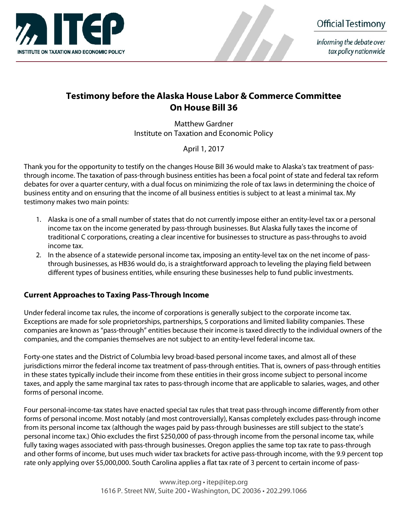

Informing the debate over tax policy nationwide

## Testimony before the Alaska House Labor & Commerce Committee On House Bill 36

Matthew Gardner Institute on Taxation and Economic Policy

April 1, 2017

Thank you for the opportunity to testify on the changes House Bill 36 would make to Alaska's tax treatment of passthrough income. The taxation of pass-through business entities has been a focal point of state and federal tax reform debates for over a quarter century, with a dual focus on minimizing the role of tax laws in determining the choice of business entity and on ensuring that the income of all business entities is subject to at least a minimal tax. My testimony makes two main points:

- 1. Alaska is one of a small number of states that do not currently impose either an entity-level tax or a personal income tax on the income generated by pass-through businesses. But Alaska fully taxes the income of traditional C corporations, creating a clear incentive for businesses to structure as pass-throughs to avoid income tax.
- 2. In the absence of a statewide personal income tax, imposing an entity-level tax on the net income of passthrough businesses, as HB36 would do, is a straightforward approach to leveling the playing field between different types of business entities, while ensuring these businesses help to fund public investments.

## Current Approaches to Taxing Pass-Through Income

Under federal income tax rules, the income of corporations is generally subject to the corporate income tax. Exceptions are made for sole proprietorships, partnerships, S corporations and limited liability companies. These companies are known as "pass-through" entities because their income is taxed directly to the individual owners of the companies, and the companies themselves are not subject to an entity-level federal income tax.

Forty-one states and the District of Columbia levy broad-based personal income taxes, and almost all of these jurisdictions mirror the federal income tax treatment of pass-through entities. That is, owners of pass-through entities in these states typically include their income from these entities in their gross income subject to personal income taxes, and apply the same marginal tax rates to pass-through income that are applicable to salaries, wages, and other forms of personal income.

Four personal-income-tax states have enacted special tax rules that treat pass-through income differently from other forms of personal income. Most notably (and most controversially), Kansas completely excludes pass-through income from its personal income tax (although the wages paid by pass-through businesses are still subject to the state's personal income tax.) Ohio excludes the first \$250,000 of pass-through income from the personal income tax, while fully taxing wages associated with pass-through businesses. Oregon applies the same top tax rate to pass-through and other forms of income, but uses much wider tax brackets for active pass-through income, with the 9.9 percent top rate only applying over \$5,000,000. South Carolina applies a flat tax rate of 3 percent to certain income of pass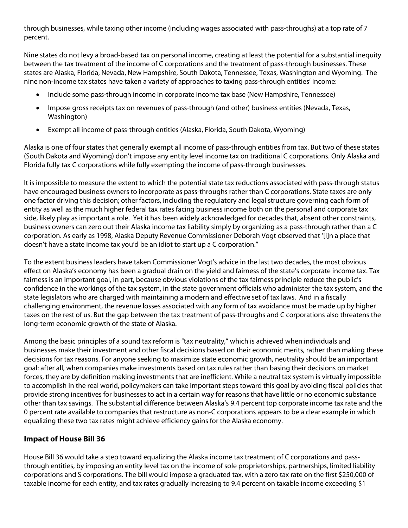through businesses, while taxing other income (including wages associated with pass-throughs) at a top rate of 7 percent.

Nine states do not levy a broad-based tax on personal income, creating at least the potential for a substantial inequity between the tax treatment of the income of C corporations and the treatment of pass-through businesses. These states are Alaska, Florida, Nevada, New Hampshire, South Dakota, Tennessee, Texas, Washington and Wyoming. The nine non-income tax states have taken a variety of approaches to taxing pass-through entities' income:

- Include some pass-through income in corporate income tax base (New Hampshire, Tennessee)
- Impose gross receipts tax on revenues of pass-through (and other) business entities (Nevada, Texas, Washington)
- Exempt all income of pass-through entities (Alaska, Florida, South Dakota, Wyoming)

Alaska is one of four states that generally exempt all income of pass-through entities from tax. But two of these states (South Dakota and Wyoming) don't impose any entity level income tax on traditional C corporations. Only Alaska and Florida fully tax C corporations while fully exempting the income of pass-through businesses.

It is impossible to measure the extent to which the potential state tax reductions associated with pass-through status have encouraged business owners to incorporate as pass-throughs rather than C corporations. State taxes are only one factor driving this decision; other factors, including the regulatory and legal structure governing each form of entity as well as the much higher federal tax rates facing business income both on the personal and corporate tax side, likely play as important a role. Yet it has been widely acknowledged for decades that, absent other constraints, business owners can zero out their Alaska income tax liability simply by organizing as a pass-through rather than a C corporation. As early as 1998, Alaska Deputy Revenue Commissioner Deborah Vogt observed that '[i]n a place that doesn't have a state income tax you'd be an idiot to start up a C corporation."

To the extent business leaders have taken Commissioner Vogt's advice in the last two decades, the most obvious effect on Alaska's economy has been a gradual drain on the yield and fairness of the state's corporate income tax. Tax fairness is an important goal, in part, because obvious violations of the tax fairness principle reduce the public's confidence in the workings of the tax system, in the state government officials who administer the tax system, and the state legislators who are charged with maintaining a modern and effective set of tax laws. And in a fiscally challenging environment, the revenue losses associated with any form of tax avoidance must be made up by higher taxes on the rest of us. But the gap between the tax treatment of pass-throughs and C corporations also threatens the long-term economic growth of the state of Alaska.

Among the basic principles of a sound tax reform is "tax neutrality," which is achieved when individuals and businesses make their investment and other fiscal decisions based on their economic merits, rather than making these decisions for tax reasons. For anyone seeking to maximize state economic growth, neutrality should be an important goal: after all, when companies make investments based on tax rules rather than basing their decisions on market forces, they are by definition making investments that are inefficient. While a neutral tax system is virtually impossible to accomplish in the real world, policymakers can take important steps toward this goal by avoiding fiscal policies that provide strong incentives for businesses to act in a certain way for reasons that have little or no economic substance other than tax savings. The substantial difference between Alaska's 9.4 percent top corporate income tax rate and the 0 percent rate available to companies that restructure as non-C corporations appears to be a clear example in which equalizing these two tax rates might achieve efficiency gains for the Alaska economy.

## Impact of House Bill 36

House Bill 36 would take a step toward equalizing the Alaska income tax treatment of C corporations and passthrough entities, by imposing an entity level tax on the income of sole proprietorships, partnerships, limited liability corporations and S corporations. The bill would impose a graduated tax, with a zero tax rate on the first \$250,000 of taxable income for each entity, and tax rates gradually increasing to 9.4 percent on taxable income exceeding \$1